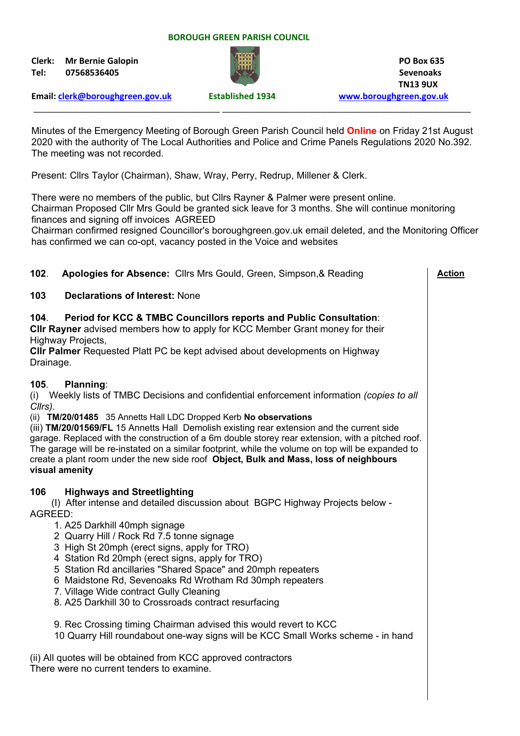#### **BOROUGH GREEN PARISH COUNCIL**

**Clerk: Mr Bernie Galopin PO Box 635 Tel: 07568536405 Sevenoaks**



 **TN13 9UX**

**Email: [clerk@boroughgreen.gov.uk](mailto:clerk@boroughgreen.gov.uk) Established 1934 [www.boroughgreen.gov.uk](http://www.boroughgreen.gov.uk/)**

Minutes of the Emergency Meeting of Borough Green Parish Council held **Online** on Friday 21st August 2020 with the authority of The Local Authorities and Police and Crime Panels Regulations 2020 No.392. The meeting was not recorded.

\_\_\_\_\_\_\_\_\_\_\_\_\_\_\_\_\_\_\_\_\_\_\_\_\_\_\_\_\_\_\_\_\_\_\_\_\_\_\_ \_\_\_\_\_\_\_\_\_\_\_\_\_\_\_\_\_\_\_\_\_\_\_\_\_\_\_\_\_\_\_\_\_\_\_\_\_\_\_\_\_\_\_\_\_\_\_\_\_\_\_\_

Present: Cllrs Taylor (Chairman), Shaw, Wray, Perry, Redrup, Millener & Clerk.

There were no members of the public, but Cllrs Rayner & Palmer were present online. Chairman Proposed Cllr Mrs Gould be granted sick leave for 3 months. She will continue monitoring finances and signing off invoices AGREED

Chairman confirmed resigned Councillor's boroughgreen.gov.uk email deleted, and the Monitoring Officer has confirmed we can co-opt, vacancy posted in the Voice and websites

| 102.<br>Apologies for Absence: Cllrs Mrs Gould, Green, Simpson, & Reading                                                                                                                                                                                                                                                                                                                                                                                                                                                                                                                                                | <b>Action</b> |
|--------------------------------------------------------------------------------------------------------------------------------------------------------------------------------------------------------------------------------------------------------------------------------------------------------------------------------------------------------------------------------------------------------------------------------------------------------------------------------------------------------------------------------------------------------------------------------------------------------------------------|---------------|
| <b>Declarations of Interest: None</b><br>103                                                                                                                                                                                                                                                                                                                                                                                                                                                                                                                                                                             |               |
| Period for KCC & TMBC Councillors reports and Public Consultation:<br>104.<br>CIIr Rayner advised members how to apply for KCC Member Grant money for their<br>Highway Projects,<br><b>CIIr Palmer</b> Requested Platt PC be kept advised about developments on Highway<br>Drainage.                                                                                                                                                                                                                                                                                                                                     |               |
| Planning:<br>105.<br>Weekly lists of TMBC Decisions and confidential enforcement information (copies to all<br>(i)<br>Cllrs).<br>(ii) TM/20/01485 35 Annetts Hall LDC Dropped Kerb No observations<br>(iii) TM/20/01569/FL 15 Annetts Hall Demolish existing rear extension and the current side<br>garage. Replaced with the construction of a 6m double storey rear extension, with a pitched roof.<br>The garage will be re-instated on a similar footprint, while the volume on top will be expanded to<br>create a plant room under the new side roof Object, Bulk and Mass, loss of neighbours<br>visual amenity   |               |
| 106<br><b>Highways and Streetlighting</b><br>(I) After intense and detailed discussion about BGPC Highway Projects below -<br>AGREED:<br>1. A25 Darkhill 40mph signage<br>2 Quarry Hill / Rock Rd 7.5 tonne signage<br>3 High St 20mph (erect signs, apply for TRO)<br>4 Station Rd 20mph (erect signs, apply for TRO)<br>5 Station Rd ancillaries "Shared Space" and 20mph repeaters<br>6 Maidstone Rd, Sevenoaks Rd Wrotham Rd 30mph repeaters<br>7. Village Wide contract Gully Cleaning<br>8. A25 Darkhill 30 to Crossroads contract resurfacing<br>9. Rec Crossing timing Chairman advised this would revert to KCC |               |
| 10 Quarry Hill roundabout one-way signs will be KCC Small Works scheme - in hand<br>(ii) All quotes will be obtained from KCC approved contractors<br>There were no current tenders to examine.                                                                                                                                                                                                                                                                                                                                                                                                                          |               |